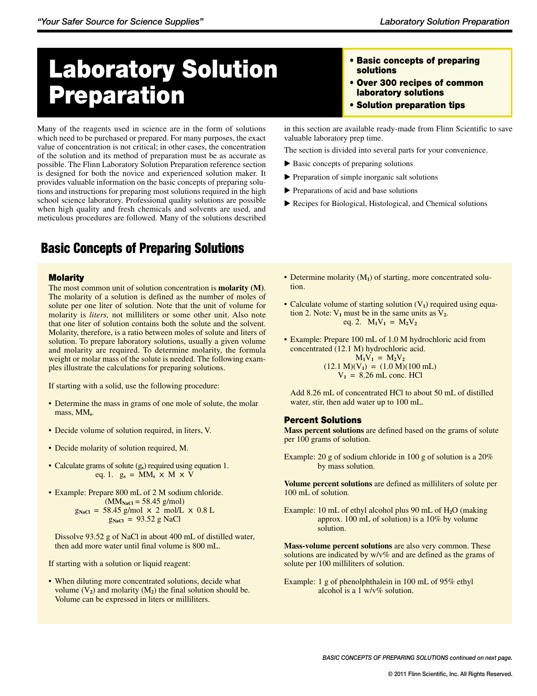# Laboratory Solution Preparation

Many of the reagents used in science are in the form of solutions which need to be purchased or prepared. For many purposes, the exact value of concentration is not critical; in other cases, the concentration of the solution and its method of preparation must be as accurate as possible. The Flinn Laboratory Solution Preparation reference section is designed for both the novice and experienced solution maker. It provides valuable information on the basic concepts of preparing solutions and instructions for preparing most solutions required in the high school science laboratory. Professional quality solutions are possible when high quality and fresh chemicals and solvents are used, and meticulous procedures are followed. Many of the solutions described

# Basic Concepts of Preparing Solutions

### **Molarity**

The most common unit of solution concentration is **molarity (M)**. The molarity of a solution is defined as the number of moles of solute per one liter of solution. Note that the unit of volume for molarity is *liters,* not milliliters or some other unit. Also note that one liter of solution contains both the solute and the solvent. Molarity, therefore, is a ratio between moles of solute and liters of solution. To prepare laboratory solutions, usually a given volume and molarity are required. To determine molarity, the formula weight or molar mass of the solute is needed. The following examples illustrate the calculations for preparing solutions.

If starting with a solid, use the following procedure:

- Determine the mass in grams of one mole of solute, the molar mass, MM**s**.
- Decide volume of solution required, in liters, V.
- Decide molarity of solution required, M.
- Calculate grams of solute (g<sub>s</sub>) required using equation 1. eq. 1.  $g_s = MM_s \times M \times V$
- Example: Prepare 800 mL of 2 M sodium chloride.  $(MM<sub>NaCl</sub> = 58.45$  g/mol)  $g_{NaCl}$  = 58.45 g/mol  $\times$  2 mol/L  $\times$  0.8 L  $g_{NaCl}$  = 93.52 g NaCl

 Dissolve 93.52 g of NaCl in about 400 mL of distilled water, then add more water until final volume is 800 mL.

If starting with a solution or liquid reagent:

• When diluting more concentrated solutions, decide what volume  $(V_2)$  and molarity  $(M_2)$  the final solution should be. Volume can be expressed in liters or milliliters.

- • Basic concepts of preparing solutions
- • Over 300 recipes of common laboratory solutions
- • Solution preparation tips

in this section are available ready-made from Flinn Scientific to save valuable laboratory prep time.

The section is divided into several parts for your convenience.

- Basic concepts of preparing solutions
- Preparation of simple inorganic salt solutions
- Preparations of acid and base solutions
- Recipes for Biological, Histological, and Chemical solutions
- Determine molarity (M<sub>1</sub>) of starting, more concentrated solution.
- Calculate volume of starting solution  $(V_1)$  required using equation 2. Note:  $V_1$  must be in the same units as  $V_2$ . eq. 2.  $M_1V_1 = M_2V_2$
- Example: Prepare 100 mL of 1.0 M hydrochloric acid from concentrated (12.1 M) hydrochloric acid.  $M_1V_1 = M_2V_2$

 $(12.1 \text{ M})(V_1) = (1.0 \text{ M})(100 \text{ mL})$  $V_1 = 8.26$  mL conc. HCl

 Add 8.26 mL of concentrated HCl to about 50 mL of distilled water, stir, then add water up to 100 mL.

### Percent Solutions

**Mass percent solutions** are defined based on the grams of solute per 100 grams of solution.

Example: 20 g of sodium chloride in 100 g of solution is a 20% by mass solution.

**Volume percent solutions** are defined as milliliters of solute per 100 mL of solution.

Example: 10 mL of ethyl alcohol plus 90 mL of H**2**O (making approx. 100 mL of solution) is a 10% by volume solution.

**Mass-volume percent solutions** are also very common. These solutions are indicated by w/v% and are defined as the grams of solute per 100 milliliters of solution.

Example: 1 g of phenolphthalein in 100 mL of  $95\%$  ethyl alcohol is a 1 w/v% solution.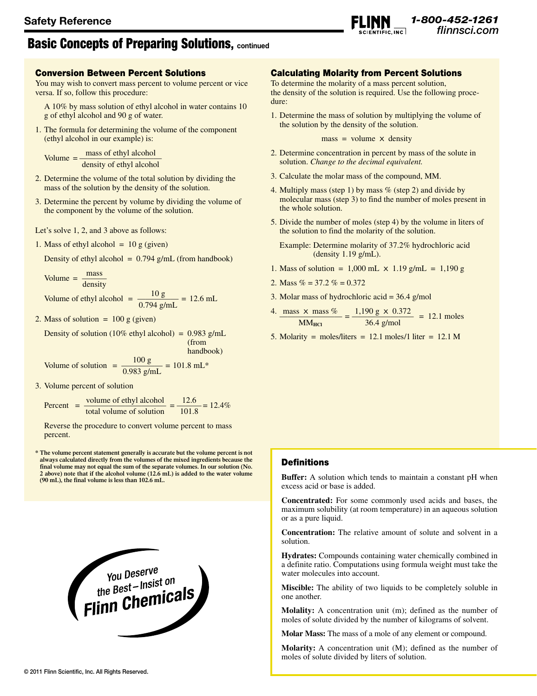# Basic Concepts of Preparing Solutions, **continued**

### Conversion Between Percent Solutions

You may wish to convert mass percent to volume percent or vice versa. If so, follow this procedure:

 A 10% by mass solution of ethyl alcohol in water contains 10 g of ethyl alcohol and 90 g of water.

1. The formula for determining the volume of the component (ethyl alcohol in our example) is:

Volume  $=$   $\frac{\text{mass of ethyl alcohol}}{\text{mass of ethyl alcohol}}$ density of ethyl alcohol

- 2. Determine the volume of the total solution by dividing the mass of the solution by the density of the solution.
- 3. Determine the percent by volume by dividing the volume of the component by the volume of the solution.
- Let's solve 1, 2, and 3 above as follows:
- 1. Mass of ethyl alcohol  $= 10$  g (given)

Density of ethyl alcohol =  $0.794$  g/mL (from handbook)

$$
Volume = \frac{mass}{density}
$$

Volume of ethyl alcohol = 
$$
\frac{10 \text{ g}}{0.794 \text{ g/mL}} = 12.6 \text{ mL}
$$

2. Mass of solution  $= 100$  g (given)

Density of solution (10% ethyl alcohol) =  $0.983$  g/mL (from

handbook)

Volume of solution 
$$
=
$$
  $\frac{100 \text{ g}}{0.983 \text{ g/mL}} = 101.8 \text{ mL}^*$ 

3. Volume percent of solution

Percent =  $\frac{\text{volume of ethyl alcohol}}{\text{total volume of solution}} = \frac{12.6}{101.8} = 12.4\%$ 

Reverse the procedure to convert volume percent to mass percent.

**\* The volume percent statement generally is accurate but the volume percent is not always calculated directly from the volumes of the mixed ingredients because the final volume may not equal the sum of the separate volumes. In our solution (No. 2 above) note that if the alcohol volume (12.6 mL) is added to the water volume (90 mL), the final volume is less than 102.6 mL.**



### Calculating Molarity from Percent Solutions

To determine the molarity of a mass percent solution, the density of the solution is required. Use the following procedure:

*1-800-452-1261*

1. Determine the mass of solution by multiplying the volume of the solution by the density of the solution.

 $mass = volume \times density$ 

- 2. Determine concentration in percent by mass of the solute in solution. *Change to the decimal equivalent.*
- 3. Calculate the molar mass of the compound, MM.
- 4. Multiply mass (step 1) by mass  $%$  (step 2) and divide by molecular mass (step 3) to find the number of moles present in the whole solution.
- 5. Divide the number of moles (step 4) by the volume in liters of the solution to find the molarity of the solution.
	- Example: Determine molarity of 37.2% hydrochloric acid (density 1.19 g/mL).
- 1. Mass of solution =  $1,000$  mL  $\times$  1.19 g/mL = 1,190 g
- 2. Mass  $% = 37.2$   $% = 0.372$
- 3. Molar mass of hydrochloric acid  $= 36.4$  g/mol

$$
\frac{4. \text{ mass} \times \text{mass } \%}{\text{MM}_{\text{HCl}}} = \frac{1,190 \text{ g} \times 0.372}{36.4 \text{ g/mol}} = 12.1 \text{ moles}
$$

5. Molarity = moles/liters =  $12.1$  moles/1 liter =  $12.1$  M

### **Definitions**

**Buffer:** A solution which tends to maintain a constant pH when excess acid or base is added.

**Concentrated:** For some commonly used acids and bases, the maximum solubility (at room temperature) in an aqueous solution or as a pure liquid.

**Concentration:** The relative amount of solute and solvent in a solution.

**Hydrates:** Compounds containing water chemically combined in a definite ratio. Computations using formula weight must take the water molecules into account.

**Miscible:** The ability of two liquids to be completely soluble in one another.

**Molality:** A concentration unit (m); defined as the number of moles of solute divided by the number of kilograms of solvent.

**Molar Mass:** The mass of a mole of any element or compound.

**Molarity:** A concentration unit (M); defined as the number of moles of solute divided by liters of solution.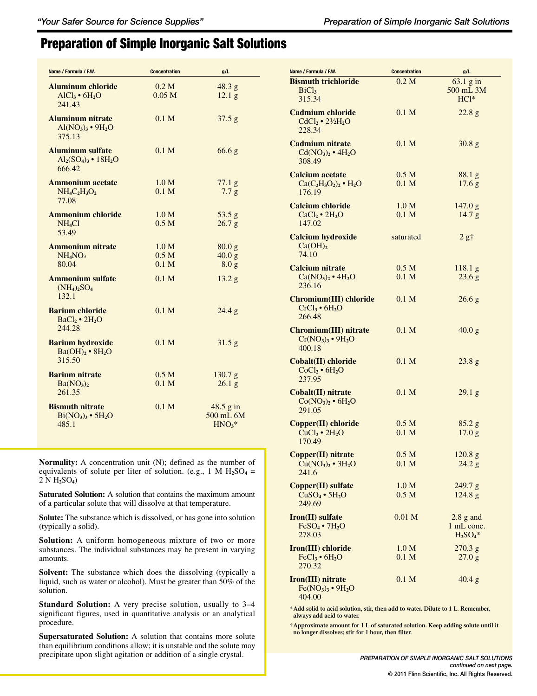# Preparation of Simple Inorganic Salt Solutions

| Name / Formula / F.W.                                                                       | <b>Concentration</b>                                     | g/L                                             |
|---------------------------------------------------------------------------------------------|----------------------------------------------------------|-------------------------------------------------|
| <b>Aluminum chloride</b><br>$AICl3 \cdot 6H2O$<br>241.43                                    | 0.2 <sub>M</sub><br>0.05 M                               | 48.3 g<br>12.1 <sub>g</sub>                     |
| <b>Aluminum nitrate</b><br>$\text{Al}(\text{NO}_3)_3 \bullet 9\text{H}_2\text{O}$<br>375.13 | 0.1 <sub>M</sub>                                         | 37.5 g                                          |
| <b>Aluminum sulfate</b><br>$Al2(SO4)3 • 18H2O$<br>666.42                                    | 0.1 M                                                    | 66.6 <sub>g</sub>                               |
| <b>Ammonium acetate</b><br>$NH_4C_2H_3O_2$<br>77.08                                         | 1.0 M<br>0.1 M                                           | $77.1\text{ g}$<br>7.7 g                        |
| <b>Ammonium chloride</b><br>NH <sub>4</sub> Cl<br>53.49                                     | 1.0 M<br>0.5 <sub>M</sub>                                | 53.5 g<br>26.7 g                                |
| <b>Ammonium nitrate</b><br>NH <sub>4</sub> NO <sub>3</sub><br>80.04                         | 1.0 <sub>M</sub><br>0.5 <sub>M</sub><br>0.1 <sub>M</sub> | 80.0 <sub>g</sub><br>40.0 g<br>8.0 <sub>g</sub> |
| <b>Ammonium sulfate</b><br>$(NH_4)_2SO_4$<br>132.1                                          | 0.1 <sub>M</sub>                                         | 13.2 g                                          |
| <b>Barium chloride</b><br>BaCl <sub>2</sub> • 2H <sub>2</sub> O<br>244.28                   | 0.1 M                                                    | 24.4 g                                          |
| <b>Barium hydroxide</b><br>Ba(OH) <sub>2</sub> • 8H <sub>2</sub> O<br>315.50                | 0.1 M                                                    | $31.5$ g                                        |
| <b>Barium nitrate</b><br>Ba(NO <sub>3</sub> ) <sub>2</sub><br>261.35                        | 0.5 <sub>M</sub><br>0.1 M                                | 130.7 g<br>26.1 <sub>g</sub>                    |
| <b>Bismuth nitrate</b><br>$Bi(NO_3)$ <sup>3</sup> • 5H <sub>2</sub> O<br>485.1              | 0.1 <sub>M</sub>                                         | $48.5$ g in<br>500 mL 6M<br>$HNO3*$             |

**Normality:** A concentration unit (N); defined as the number of equivalents of solute per liter of solution. (e.g., 1 M  $H_2SO_4$  = 2 N H**2**SO**4**)

**Saturated Solution:** A solution that contains the maximum amount of a particular solute that will dissolve at that temperature.

**Solute:** The substance which is dissolved, or has gone into solution (typically a solid).

**Solution:** A uniform homogeneous mixture of two or more substances. The individual substances may be present in varying amounts.

**Solvent:** The substance which does the dissolving (typically a liquid, such as water or alcohol). Must be greater than 50% of the solution.

**Standard Solution:** A very precise solution, usually to 3–4 significant figures, used in quantitative analysis or an analytical procedure.

**Supersaturated Solution:** A solution that contains more solute than equilibrium conditions allow; it is unstable and the solute may precipitate upon slight agitation or addition of a single crystal.

| Name / Formula / F.W.                                                  | <b>Concentration</b>                 | g/L                                     |
|------------------------------------------------------------------------|--------------------------------------|-----------------------------------------|
| <b>Bismuth trichloride</b><br>BiCl <sub>3</sub><br>315.34              | 0.2 <sub>M</sub>                     | 63.1 g in<br>500 mL 3M<br>$HC1*$        |
| <b>Cadmium chloride</b><br>$CdCl2 • 21/2H2O$<br>228.34                 | 0.1 <sub>M</sub>                     | 22.8 g                                  |
| <b>Cadmium nitrate</b><br>$Cd(NO3)2 • 4H2O$<br>308.49                  | 0.1 <sub>M</sub>                     | $30.8\text{ g}$                         |
| <b>Calcium acetate</b><br>$Ca(C_2H_3O_2)_2 \cdot H_2O$<br>176.19       | 0.5 <sub>M</sub><br>0.1 <sub>M</sub> | $88.1\text{ g}$<br>17.6 <sub>g</sub>    |
| <b>Calcium chloride</b><br>$CaCl2 \cdot 2H2O$<br>147.02                | 1.0 M<br>0.1 <sub>M</sub>            | 147.0 g<br>14.7 g                       |
| <b>Calcium hydroxide</b><br>Ca(OH) <sub>2</sub><br>74.10               | saturated                            | $2 g+$                                  |
| <b>Calcium nitrate</b><br>$Ca(NO3)2 \cdot 4H2O$<br>236.16              | 0.5 <sub>M</sub><br>0.1 <sub>M</sub> | 118.1 <sub>g</sub><br>23.6 g            |
| Chromium(III) chloride<br>$CrCl3 \cdot 6H2O$<br>266.48                 | 0.1 <sub>M</sub>                     | 26.6 <sub>g</sub>                       |
| Chromium(III) nitrate<br>$Cr(NO3)3 \cdot 9H2O$<br>400.18               | 0.1 <sub>M</sub>                     | 40.0 g                                  |
| Cobalt(II) chloride<br>CoCl <sub>2</sub> • 6H <sub>2</sub> O<br>237.95 | 0.1 <sub>M</sub>                     | $23.8\text{ g}$                         |
| Cobalt(II) nitrate<br>$Co(NO3)2 • 6H2O$<br>291.05                      | 0.1 <sub>M</sub>                     | 29.1 g                                  |
| Copper(II) chloride<br>CuCl <sub>2</sub> • 2H <sub>2</sub> O<br>170.49 | 0.5 <sub>M</sub><br>0.1 <sub>M</sub> | $85.2$ g<br>17.0 <sub>g</sub>           |
| Copper(II) nitrate<br>$Cu(NO3)2 • 3H2O$<br>241.6                       | 0.5 <sub>M</sub><br>0.1 M            | 120.8 <sub>g</sub><br>24.2 g            |
| Copper(II) sulfate<br>$CuSO4 \cdot 5H2O$<br>249.69                     | 1.0 M<br>0.5 <sub>M</sub>            | 249.7 g<br>124.8 g                      |
| $Iron(II)$ sulfate<br>$FeSO4 \cdot 7H2O$<br>278.03                     | 0.01 <sub>M</sub>                    | $2.8$ g and<br>1 mL conc.<br>$H_2SO_4*$ |
| Iron(III) chloride<br>FeCl <sub>3</sub> • 6H <sub>2</sub> O<br>270.32  | 1.0 <sub>M</sub><br>0.1 <sub>M</sub> | 270.3 g<br>27.0 g                       |
| Iron(III) nitrate<br>$Fe(NO3)3 • 9H2O$<br>404.00                       | 0.1 <sub>M</sub>                     | $40.4$ g                                |

**\*Add solid to acid solution, stir, then add to water. Dilute to 1 L. Remember, always add acid to water.**

† **Approximate amount for 1 L of saturated solution. Keep adding solute until it no longer dissolves; stir for 1 hour, then filter.**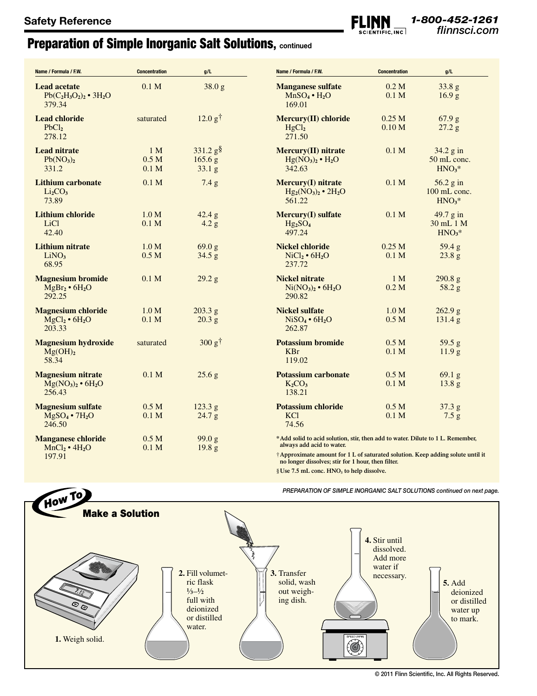# Preparation of Simple Inorganic Salt Solutions, **continued**

| Name / Formula / F.W.                                                | <b>Concentration</b>                                   | g/L                                                    | Name / Formula / F.W.                                                                                                                                                                         | <b>Concentration</b>                  | g/L                                      |
|----------------------------------------------------------------------|--------------------------------------------------------|--------------------------------------------------------|-----------------------------------------------------------------------------------------------------------------------------------------------------------------------------------------------|---------------------------------------|------------------------------------------|
| <b>Lead acetate</b><br>$Pb(C_2H_3O_2)_2 \cdot 3H_2O$<br>379.34       | 0.1 <sub>M</sub>                                       | 38.0 g                                                 | <b>Manganese sulfate</b><br>$MnSO_4 \cdot H_2O$<br>169.01                                                                                                                                     | 0.2 M<br>0.1 <sub>M</sub>             | 33.8 g<br>16.9 <sub>g</sub>              |
| <b>Lead chloride</b><br>PbCl <sub>2</sub><br>278.12                  | saturated                                              | 12.0 g <sup>†</sup>                                    | Mercury(II) chloride<br>HgCl <sub>2</sub><br>271.50                                                                                                                                           | 0.25 <sub>M</sub><br>0.10 M           | 67.9 g<br>27.2 g                         |
| <b>Lead nitrate</b><br>Pb(NO <sub>3</sub> ) <sub>2</sub><br>331.2    | 1 <sub>M</sub><br>0.5 <sub>M</sub><br>0.1 <sub>M</sub> | $331.2$ g <sup>§</sup><br>165.6 g<br>33.1 <sub>g</sub> | Mercury(II) nitrate<br>$Hg(NO3)2 • H2O$<br>342.63                                                                                                                                             | 0.1 <sub>M</sub>                      | 34.2 g in<br>50 mL conc.<br>$HNO3*$      |
| <b>Lithium carbonate</b><br>Li <sub>2</sub> CO <sub>3</sub><br>73.89 | 0.1 <sub>M</sub>                                       | 7.4 g                                                  | Mercury(I) nitrate<br>$Hg_2(NO_3)_2 \cdot 2H_2O$<br>561.22                                                                                                                                    | 0.1 <sub>M</sub>                      | $56.2$ g in<br>$100$ mL conc.<br>$HNO3*$ |
| <b>Lithium chloride</b><br>LiC <sub>1</sub><br>42.40                 | 1.0 M<br>0.1 <sub>M</sub>                              | 42.4 g<br>4.2 g                                        | <b>Mercury(I)</b> sulfate<br>$Hg_2SO_4$<br>497.24                                                                                                                                             | 0.1 <sub>M</sub>                      | 49.7 g in<br>30 mL 1 M<br>$HNO3*$        |
| <b>Lithium nitrate</b><br>LiNO <sub>3</sub><br>68.95                 | 1.0 M<br>0.5 <sub>M</sub>                              | 69.0 g<br>34.5 g                                       | <b>Nickel chloride</b><br>$\text{NiCl}_2 \bullet 6\text{H}_2\text{O}$<br>237.72                                                                                                               | 0.25 <sub>M</sub><br>0.1 <sub>M</sub> | 59.4 g<br>$23.8\text{ g}$                |
| <b>Magnesium bromide</b><br>$MgBr_2 \bullet 6H_2O$<br>292.25         | 0.1 <sub>M</sub>                                       | 29.2 g                                                 | <b>Nickel nitrate</b><br>$Ni(NO3)2 • 6H2O$<br>290.82                                                                                                                                          | 1 <sub>M</sub><br>0.2 M               | 290.8 g<br>58.2 g                        |
| <b>Magnesium chloride</b><br>$MgCl2 \cdot 6H2O$<br>203.33            | 1.0 M<br>0.1 <sub>M</sub>                              | 203.3 g<br>20.3 <sub>g</sub>                           | <b>Nickel sulfate</b><br>$NiSO4 \cdot 6H2O$<br>262.87                                                                                                                                         | 1.0 M<br>0.5 <sub>M</sub>             | 262.9 g<br>131.4 g                       |
| <b>Magnesium hydroxide</b><br>Mg(OH) <sub>2</sub><br>58.34           | saturated                                              | 300 g <sup>†</sup>                                     | <b>Potassium bromide</b><br>KBr<br>119.02                                                                                                                                                     | 0.5 <sub>M</sub><br>0.1 <sub>M</sub>  | 59.5 g<br>11.9 <sub>g</sub>              |
| <b>Magnesium nitrate</b><br>$Mg(NO3)2 \cdot 6H2O$<br>256.43          | 0.1 <sub>M</sub>                                       | 25.6 g                                                 | <b>Potassium carbonate</b><br>$K_2CO_3$<br>138.21                                                                                                                                             | 0.5 <sub>M</sub><br>0.1 <sub>M</sub>  | 69.1 g<br>13.8 g                         |
| <b>Magnesium sulfate</b><br>$MgSO_4 \cdot 7H_2O$<br>246.50           | 0.5 <sub>M</sub><br>0.1 <sub>M</sub>                   | 123.3 g<br>24.7 g                                      | <b>Potassium chloride</b><br><b>KCl</b><br>74.56                                                                                                                                              | 0.5 <sub>M</sub><br>0.1 <sub>M</sub>  | 37.3 g<br>7.5 g                          |
| <b>Manganese chloride</b><br>$MnCl2 \cdot 4H2O$<br>197.91            | 0.5 <sub>M</sub><br>0.1 <sub>M</sub>                   | 99.0 g<br>19.8 <sub>g</sub>                            | *Add solid to acid solution, stir, then add to water. Dilute to 1 L. Remember,<br>always add acid to water.<br>†Approximate amount for 1 L of saturated solution. Keep adding solute until it |                                       |                                          |

**no longer dissolves; stir for 1 hour, then filter.**

§**Use 7.5 mL** conc. HNO<sub>3</sub> to help dissolve.



*PREPARATION OF SIMPLE INORGANIC SALT SOLUTIONS continued on next page.*

© 2011 Flinn Scientific, Inc. All Rights Reserved.

*1-800-452-1261*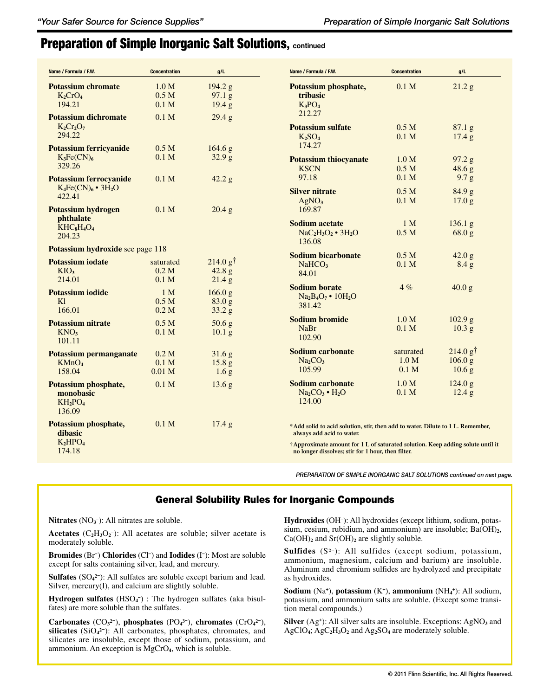# Preparation of Simple Inorganic Salt Solutions, **continued**

| Name / Formula / F.W.                                                        | <b>Concentration</b>                                      | g/L                                               | Name / Formula / F.W.                                                                                                                                                                                                                               | <b>Concentration</b>                   | g/L                                                  |
|------------------------------------------------------------------------------|-----------------------------------------------------------|---------------------------------------------------|-----------------------------------------------------------------------------------------------------------------------------------------------------------------------------------------------------------------------------------------------------|----------------------------------------|------------------------------------------------------|
| <b>Potassium chromate</b><br>$K_2CrO_4$<br>194.21                            | 1.0 <sub>M</sub><br>0.5 <sub>M</sub><br>0.1 <sub>M</sub>  | 194.2 g<br>97.1 g<br>19.4 g                       | Potassium phosphate,<br>tribasic<br>$K_3PO_4$<br>212.27                                                                                                                                                                                             | 0.1 <sub>M</sub>                       | 21.2 g                                               |
| <b>Potassium dichromate</b><br>$K_2Cr_2O_7$<br>294.22                        | 0.1 <sub>M</sub>                                          | 29.4 g                                            | <b>Potassium sulfate</b><br>K <sub>2</sub> SO <sub>4</sub>                                                                                                                                                                                          | 0.5 <sub>M</sub><br>0.1 M              | 87.1 g<br>$17.4\text{ g}$                            |
| <b>Potassium ferricyanide</b><br>$K_3Fe(CN)_6$<br>329.26                     | 0.5 <sub>M</sub><br>0.1 <sub>M</sub>                      | 164.6 g<br>32.9 <sub>g</sub>                      | 174.27<br><b>Potassium thiocyanate</b>                                                                                                                                                                                                              | 1.0 <sub>M</sub><br>0.5 <sub>M</sub>   | 97.2 g                                               |
| <b>Potassium ferrocyanide</b><br>$K_4Fe(CN)_6$ • $3H_2O$<br>422.41           | 0.1 <sub>M</sub>                                          | 42.2 g                                            | <b>KSCN</b><br>97.18<br><b>Silver nitrate</b>                                                                                                                                                                                                       | 0.1 <sub>M</sub><br>0.5 <sub>M</sub>   | 48.6 g<br>9.7 g<br>84.9 g                            |
| <b>Potassium hydrogen</b><br><i>phthalate</i><br>$KHC_8H_4O_4$               | 0.1 <sub>M</sub>                                          | 20.4 g                                            | AgNO <sub>3</sub><br>169.87<br><b>Sodium acetate</b>                                                                                                                                                                                                | 0.1 M<br>1 <sub>M</sub>                | 17.0 <sub>g</sub><br>$136.1\text{ g}$                |
| 204.23<br>Potassium hydroxide see page 118                                   |                                                           |                                                   | $NaC2H3O2$ • 3H <sub>2</sub> O<br>136.08                                                                                                                                                                                                            | 0.5 <sub>M</sub>                       | 68.0 g                                               |
| <b>Potassium iodate</b><br>KIO <sub>3</sub><br>214.01                        | saturated<br>0.2 M<br>0.1 <sub>M</sub>                    | 214.0 g <sup>†</sup><br>$42.8\text{ g}$<br>21.4 g | <b>Sodium bicarbonate</b><br>NaHCO <sub>3</sub><br>84.01                                                                                                                                                                                            | 0.5 <sub>M</sub><br>0.1 M              | 42.0 g<br>8.4 g                                      |
| <b>Potassium iodide</b><br>K1<br>166.01                                      | 1 <sub>M</sub><br>0.5 <sub>M</sub><br>0.2 <sub>M</sub>    | 166.0 g<br>83.0 g<br>33.2 g                       | <b>Sodium borate</b><br>Na <sub>2</sub> B <sub>4</sub> O <sub>7</sub> • 10H <sub>2</sub> O<br>381.42                                                                                                                                                | 4 %                                    | 40.0 g                                               |
| <b>Potassium nitrate</b><br>KNO <sub>3</sub><br>101.11                       | 0.5 <sub>M</sub><br>0.1 <sub>M</sub>                      | 50.6 <sub>g</sub><br>10.1 <sub>g</sub>            | <b>Sodium bromide</b><br><b>NaBr</b><br>102.90                                                                                                                                                                                                      | 1.0 M<br>0.1 M                         | 102.9 g<br>10.3 <sub>g</sub>                         |
| Potassium permanganate<br>KMnO <sub>4</sub><br>158.04                        | 0.2 <sub>M</sub><br>0.1 <sub>M</sub><br>0.01 <sub>M</sub> | 31.6 g<br>15.8 <sub>g</sub><br>1.6 <sub>g</sub>   | <b>Sodium carbonate</b><br>Na <sub>2</sub> CO <sub>3</sub><br>105.99                                                                                                                                                                                | saturated<br>1.0 M<br>0.1 <sub>M</sub> | 214.0 g <sup>†</sup><br>106.0 g<br>10.6 <sub>g</sub> |
| Potassium phosphate,<br>monobasic<br>$KH_2PO_4$<br>136.09                    | 0.1 <sub>M</sub>                                          | 13.6 <sub>g</sub>                                 | Sodium carbonate<br>$Na2CO3 • H2O$<br>124.00                                                                                                                                                                                                        | 1.0 <sub>M</sub><br>0.1 <sub>M</sub>   | 124.0 g<br>$12.4\text{ g}$                           |
| Potassium phosphate,<br>dibasic<br>K <sub>2</sub> HPO <sub>4</sub><br>174.18 | 0.1 <sub>M</sub>                                          | $17.4\text{ g}$                                   | *Add solid to acid solution, stir, then add to water. Dilute to 1 L. Remember,<br>always add acid to water.<br>†Approximate amount for 1 L of saturated solution. Keep adding solute until it<br>no longer dissolves; stir for 1 hour, then filter. |                                        |                                                      |
|                                                                              |                                                           |                                                   | PREPARATION OF SIMPLE INORGANIC SALT SOLUTIONS continued on next page.                                                                                                                                                                              |                                        |                                                      |

### General Solubility Rules for Inorganic Compounds

Nitrates (NO<sub>3</sub><sup>-</sup>): All nitrates are soluble.

**Acetates** ( $C_2H_3O_2$ <sup>-</sup>): All acetates are soluble; silver acetate is moderately soluble.

**Bromides** (Br**–** ) **Chlorides** (Cl**–** ) and **Iodides** (I**–** ): Most are soluble except for salts containing silver, lead, and mercury.

**Sulfates** (SO**<sup>4</sup> 2–**): All sulfates are soluble except barium and lead. Silver, mercury(I), and calcium are slightly soluble.

**Hydrogen sulfates** (HSO**<sup>4</sup> –**) : The hydrogen sulfates (aka bisulfates) are more soluble than the sulfates.

**Carbonates** (CO**<sup>3</sup> 2–**), **phosphates** (PO**<sup>4</sup> 3–**), **chromates** (CrO**<sup>4</sup> 2–**), **silicates** (SiO**<sup>4</sup> 2–**): All carbonates, phosphates, chromates, and silicates are insoluble, except those of sodium, potassium, and ammonium. An exception is MgCrO**4**, which is soluble.

**Hydroxides** (OH**–** ): All hydroxides (except lithium, sodium, potassium, cesium, rubidium, and ammonium) are insoluble; Ba(OH)**2**, Ca(OH)**<sup>2</sup>** and Sr(OH)**2** are slightly soluble.

**Sulfides** (S**2–**): All sulfides (except sodium, potassium, ammonium, magnesium, calcium and barium) are insoluble. Aluminum and chromium sulfides are hydrolyzed and precipitate as hydroxides.

**Sodium** (Na**<sup>+</sup>**), **potassium** (K**<sup>+</sup>**), **ammonium** (NH**<sup>4</sup> <sup>+</sup>**): All sodium, potassium, and ammonium salts are soluble. (Except some transition metal compounds.)

**Silver** (Ag<sup>+</sup>): All silver salts are insoluble. Exceptions: AgNO<sub>3</sub> and AgClO**4**; AgC**2**H**3**O**2** and Ag**2**SO**4** are moderately soluble.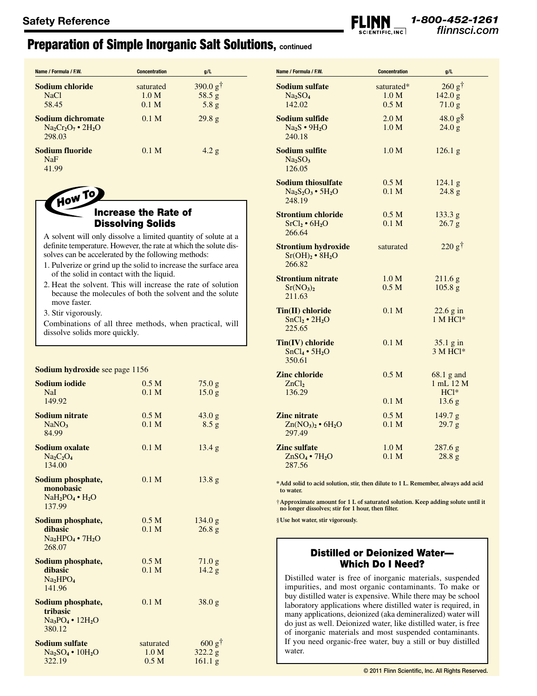## Preparation of Simple Inorganic Salt Solutions, **continued**

| Name / Formula / F.W.                                         | <b>Concentration</b> | g/L                 |
|---------------------------------------------------------------|----------------------|---------------------|
| Sodium chloride                                               | saturated            | 390.0 $g^{\dagger}$ |
| NaCl                                                          | 1.0 M                | 58.5 g              |
| 58.45                                                         | 0.1 <sub>M</sub>     | 5.8 g               |
| Sodium dichromate<br>$Na2Cr2O7$ • 2H <sub>2</sub> O<br>298.03 | 0.1 <sub>M</sub>     | 29.8 <sub>g</sub>   |
| Sodium fluoride<br>NaF<br>41.99                               | 0.1 <sub>M</sub>     | 4.2 g               |

How To

### Increase the Rate of Dissolving Solids

A solvent will only dissolve a limited quantity of solute at a definite temperature. However, the rate at which the solute dissolves can be accelerated by the following methods:

- 1. Pulverize or grind up the solid to increase the surface area of the solid in contact with the liquid.
- 2. Heat the solvent. This will increase the rate of solution because the molecules of both the solvent and the solute move faster.

3. Stir vigorously.

Combinations of all three methods, when practical, will dissolve solids more quickly.

### **Sodium hydroxide** see page 1156

| Sodium iodide<br><b>NaI</b><br>149.92                                      | 0.5 <sub>M</sub><br>0.1 <sub>M</sub>   | 75.0 g<br>15.0 <sub>g</sub>     |
|----------------------------------------------------------------------------|----------------------------------------|---------------------------------|
| <b>Sodium nitrate</b><br>NaNO <sub>3</sub><br>84.99                        | 0.5 <sub>M</sub><br>0.1 <sub>M</sub>   | 43.0 g<br>8.5 g                 |
| Sodium oxalate<br>$Na2C2O4$<br>134.00                                      | 0.1 <sub>M</sub>                       | 13.4 g                          |
| Sodium phosphate,<br>monobasic<br>$NaH_2PO_4 \bullet H_2O$<br>137.99       | 0.1 M                                  | 13.8 g                          |
| Sodium phosphate,<br>dibasic<br>$Na2HPO4$ • 7H <sub>2</sub> O<br>268.07    | 0.5 <sub>M</sub><br>0.1 <sub>M</sub>   | 134.0 g<br>26.8 <sub>g</sub>    |
| Sodium phosphate,<br>dibasic<br>Na <sub>2</sub> HPO <sub>4</sub><br>141.96 | 0.5 <sub>M</sub><br>0.1 M              | 71.0 g<br>14.2 g                |
| Sodium phosphate,<br>tribasic<br>$Na_3PO_4 \cdot 12H_2O$<br>380.12         | 0.1 M                                  | 38.0 g                          |
| Sodium sulfate<br>$Na2SO4$ • 10H <sub>2</sub> O<br>322.19                  | saturated<br>1.0 M<br>0.5 <sub>M</sub> | $600 g^+$<br>322.2 g<br>161.1 g |

| Name / Formula / F.W.                           | <b>Concentration</b> | g/L                       |
|-------------------------------------------------|----------------------|---------------------------|
| Sodium sulfate                                  | saturated*           | $260 \text{ g}^{\dagger}$ |
| Na <sub>2</sub> SO <sub>4</sub>                 | 1.0 <sub>M</sub>     | 142.0 g                   |
| 142.02                                          | 0.5 <sub>M</sub>     | 71.0 g                    |
|                                                 |                      |                           |
| Sodium sulfide                                  | 2.0 M                | $48.0 g$ §                |
| $Na2S \cdot 9H2O$                               | 1.0 <sub>M</sub>     | 24.0 g                    |
| 240.18                                          |                      |                           |
| <b>Sodium sulfite</b>                           | 1.0 <sub>M</sub>     | $126.1\text{ g}$          |
| Na <sub>2</sub> SO <sub>3</sub>                 |                      |                           |
| 126.05                                          |                      |                           |
|                                                 |                      |                           |
| <b>Sodium thiosulfate</b>                       | 0.5 <sub>M</sub>     | $124.1\text{ g}$          |
| $Na2S2O3$ • 5H <sub>2</sub> O                   | 0.1 <sub>M</sub>     | 24.8 g                    |
| 248.19                                          |                      |                           |
| <b>Strontium chloride</b>                       | 0.5 <sub>M</sub>     | 133.3 g                   |
|                                                 | 0.1 <sub>M</sub>     |                           |
| SrCl <sub>2</sub> • 6H <sub>2</sub> O<br>266.64 |                      | 26.7 g                    |
|                                                 |                      |                           |
| <b>Strontium hydroxide</b>                      | saturated            | $220 g^{\dagger}$         |
| Sr(OH) <sub>2</sub> • 8H <sub>2</sub> O         |                      |                           |
| 266.82                                          |                      |                           |
|                                                 |                      |                           |
| <b>Strontium nitrate</b>                        | 1.0 M                | 211.6 <sub>g</sub>        |
| Sr(NO <sub>3</sub> ) <sub>2</sub>               | 0.5 <sub>M</sub>     | 105.8 g                   |
| 211.63                                          |                      |                           |
| Tin(II) chloride                                | 0.1 <sub>M</sub>     | 22.6 g in                 |
| $SnCl2 \cdot 2H2O$                              |                      | 1 M HCl*                  |
| 225.65                                          |                      |                           |
|                                                 |                      |                           |
| Tin(IV) chloride                                | 0.1 <sub>M</sub>     | 35.1 g in                 |
| $SnCl4 \cdot 5H2O$                              |                      | 3 M HCl*                  |
| 350.61                                          |                      |                           |
| <b>Zinc chloride</b>                            | 0.5 <sub>M</sub>     | $68.1$ g and              |
| ZnCl <sub>2</sub>                               |                      | 1 mL 12 M                 |
| 136.29                                          |                      | $HC1*$                    |
|                                                 | 0.1 <sub>M</sub>     |                           |
|                                                 |                      | 13.6 g                    |
| <b>Zinc</b> nitrate                             | 0.5 <sub>M</sub>     | 149.7 g                   |
| $Zn(NO3)2 \cdot 6H2O$                           | 0.1 <sub>M</sub>     | 29.7 g                    |
| 297.49                                          |                      |                           |
| <b>Zinc sulfate</b>                             | 1.0 M                |                           |
|                                                 | 0.1 <sub>M</sub>     | 287.6 g                   |
| $ZnSO_4 \bullet 7H_2O$                          |                      | 28.8 g                    |
| 287.56                                          |                      |                           |

*1-800-452-1261*

**\*Add solid to acid solution, stir, then dilute to 1 L. Remember, always add acid to water.**

†**Approximate amount for 1 L of saturated solution. Keep adding solute until it no longer dissolves; stir for 1 hour, then filter.**

§**Use hot water, stir vigorously.**

### Distilled or Deionized Water— Which Do I Need?

Distilled water is free of inorganic materials, suspended impurities, and most organic contaminants. To make or buy distilled water is expensive. While there may be school laboratory applications where distilled water is required, in many applications, deionized (aka demineralized) water will do just as well. Deionized water, like distilled water, is free of inorganic materials and most suspended contaminants. If you need organic-free water, buy a still or buy distilled water.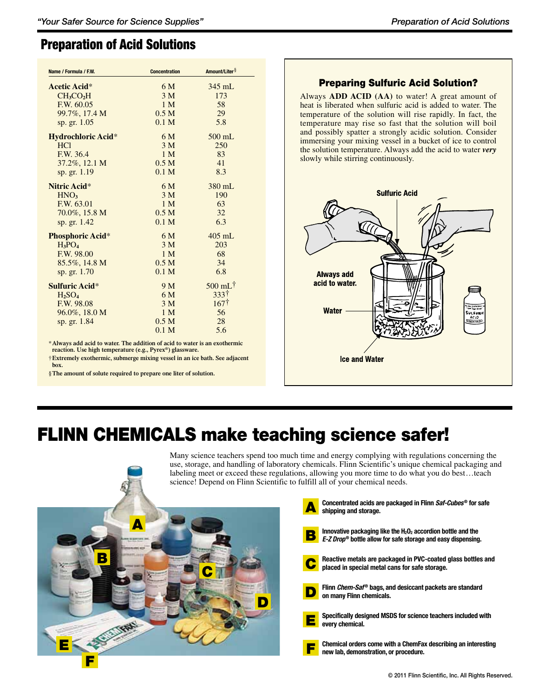## Preparation of Acid Solutions

| Name / Formula / F.W.     | <b>Concentration</b> | Amount/Liter <sup>§</sup>                |
|---------------------------|----------------------|------------------------------------------|
| Acetic Acid*              | 6 M                  | $345$ mL                                 |
| $CH_3CO2H$                | 3 <sub>M</sub>       | 173                                      |
| F.W. 60.05                | 1 <sub>M</sub>       | 58                                       |
| 99.7%, 17.4 M             | 0.5 <sub>M</sub>     | 29                                       |
| sp. gr. 1.05              | 0.1 <sub>M</sub>     | 5.8                                      |
| <b>Hydrochloric Acid*</b> | 6 M                  | 500 mL                                   |
| HC1                       | 3 <sub>M</sub>       | 250                                      |
| F.W. 36.4                 | 1 <sub>M</sub>       | 83                                       |
| 37.2%, 12.1 M             | 0.5 <sub>M</sub>     | 41                                       |
| sp. gr. 1.19              | 0.1 <sub>M</sub>     | 8.3                                      |
| Nitric Acid*              | 6 M                  | 380 mL                                   |
| HNO <sub>3</sub>          | 3 <sub>M</sub>       | 190                                      |
| F.W. 63.01                | 1 <sub>M</sub>       | 63                                       |
| $70.0\%, 15.8 M$          | 0.5 <sub>M</sub>     | 32                                       |
| sp. gr. 1.42              | 0.1 <sub>M</sub>     | 6.3                                      |
| <b>Phosphoric Acid*</b>   | 6 M                  | $405$ mL                                 |
| $H_3PO_4$                 | 3 <sub>M</sub>       | 203                                      |
| F.W. 98.00                | 1 <sub>M</sub>       | 68                                       |
| 85.5%, 14.8 M             | 0.5 <sub>M</sub>     | 34                                       |
| sp. gr. 1.70              | 0.1 <sub>M</sub>     | 6.8                                      |
| Sulfuric Acid*            | 9 M                  | $500$ mL <sup><math>\dagger</math></sup> |
| $H_2SO_4$                 | 6 M                  | 333+                                     |
| F.W. 98.08                | 3 <sub>M</sub>       | 167 <sup>†</sup>                         |
| 96.0%, 18.0 M             | 1 <sub>M</sub>       | 56                                       |
| sp. gr. 1.84              | 0.5 <sub>M</sub>     | 28                                       |
|                           | 0.1 <sub>M</sub>     | 5.6                                      |

\***Always add acid to water. The addition of acid to water is an exothermic reaction. Use high temperature (e.g., Pyrex®) glassware.**

† **Extremely exothermic, submerge mixing vessel in an ice bath. See adjacent box.**

§**The amount of solute required to prepare one liter of solution.**

### Preparing Sulfuric Acid Solution?

Always **ADD ACID (AA)** to water! A great amount of heat is liberated when sulfuric acid is added to water. The temperature of the solution will rise rapidly. In fact, the temperature may rise so fast that the solution will boil and possibly spatter a strongly acidic solution. Consider immersing your mixing vessel in a bucket of ice to control the solution temperature. Always add the acid to water *very* slowly while stirring continuously.



# FLINN CHEMICALS make teaching science safer!

Many science teachers spend too much time and energy complying with regulations concerning the use, storage, and handling of laboratory chemicals. Flinn Scientific's unique chemical packaging and labeling meet or exceed these regulations, allowing you more time to do what you do best…teach science! Depend on Flinn Scientific to fulfill all of your chemical needs.



| Concentrated acids are packaged in Flinn Saf-Cubes <sup>®</sup> for safe<br>shipping and storage.                                                         |
|-----------------------------------------------------------------------------------------------------------------------------------------------------------|
| Innovative packaging like the $H_2O_2$ accordion bottle and the<br>E-Z Drop® bottle allow for safe storage and easy dispensing.                           |
| Reactive metals are packaged in PVC-coated glass bottles and<br>Depending to the place of the place of the placed in special metal cans for safe storage. |
| Flinn <i>Chem-Saf®</i> bags, and desiccant packets are standard<br>on many Flinn chemicals.                                                               |
| Specifically designed MSDS for science teachers included with<br>every chemical.                                                                          |
| Chemical orders come with a ChemFax describing an interesting<br>new lab, demonstration, or procedure.                                                    |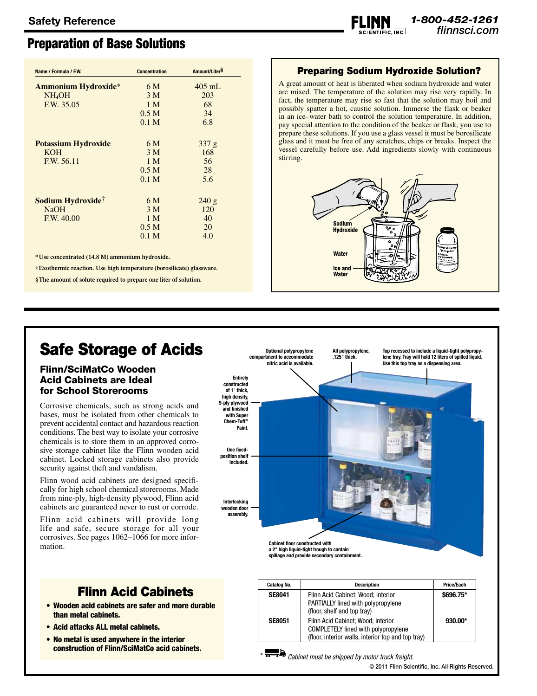# Preparation of Base Solutions

| Name / Formula / F.W.         | <b>Concentration</b> | Amount/LiterS |
|-------------------------------|----------------------|---------------|
| <b>Ammonium Hydroxide*</b>    | 6 M                  | $405$ mL      |
| $NH_4OH$                      | 3 <sub>M</sub>       | 203           |
| F.W. 35.05                    | 1 <sub>M</sub>       | 68            |
|                               | 0.5 <sub>M</sub>     | 34            |
|                               | 0.1 <sub>M</sub>     | 6.8           |
| <b>Potassium Hydroxide</b>    | 6 M                  | 337 g         |
| KOH                           | 3 <sub>M</sub>       | 168           |
| F.W. 56.11                    | 1 M                  | 56            |
|                               | 0.5 <sub>M</sub>     | 28            |
|                               | 0.1 <sub>M</sub>     | 5.6           |
| Sodium Hydroxide <sup>†</sup> | 6 M                  | 240 g         |
| NaOH                          | 3 <sub>M</sub>       | 120           |
| F.W. 40.00                    | 1 <sub>M</sub>       | 40            |
|                               | 0.5 <sub>M</sub>     | 20            |
|                               | 0.1 <sub>M</sub>     | 4.0           |

**\*Use concentrated (14.8 M) ammonium hydroxide.**

† **Exothermic reaction. Use high temperature (borosilicate) glassware.**

**§The amount of solute required to prepare one liter of solution.**

## Preparing Sodium Hydroxide Solution?

*1-800-452-1261*

A great amount of heat is liberated when sodium hydroxide and water are mixed. The temperature of the solution may rise very rapidly. In fact, the temperature may rise so fast that the solution may boil and possibly spatter a hot, caustic solution. Immerse the flask or beaker in an ice–water bath to control the solution temperature. In addition, pay special attention to the condition of the beaker or flask, you use to prepare these solutions. If you use a glass vessel it must be borosilicate glass and it must be free of any scratches, chips or breaks. Inspect the vessel carefully before use. Add ingredients slowly with continuous stirring.



# Safe Storage of Acids

### Flinn/SciMatCo Wooden Acid Cabinets are Ideal for School Storerooms

Corrosive chemicals, such as strong acids and bases, must be isolated from other chemicals to prevent accidental contact and hazardous reaction conditions. The best way to isolate your corrosive chemicals is to store them in an approved corrosive storage cabinet like the Flinn wooden acid cabinet. Locked storage cabinets also provide security against theft and vandalism.

Flinn wood acid cabinets are designed specifically for high school chemical storerooms. Made from nine-ply, high-density plywood, Flinn acid cabinets are guaranteed never to rust or corrode.

Flinn acid cabinets will provide long life and safe, secure storage for all your corrosives. See pages 1062–1066 for more information.

# Flinn Acid Cabinets

- Wooden acid cabinets are safer and more durable than metal cabinets.
- • Acid attacks ALL metal cabinets.
- No metal is used anywhere in the interior construction of Flinn/SciMatCo acid cabinets.



**spillage and provide secondary containment.**

| <b>Catalog No.</b> | <b>Description</b>                                                                                                                     | Price/Each |
|--------------------|----------------------------------------------------------------------------------------------------------------------------------------|------------|
| <b>SE8041</b>      | Flinn Acid Cabinet; Wood; interior<br>PARTIALLY lined with polypropylene<br>(floor, shelf and top tray)                                | \$696.75*  |
| <b>SE8051</b>      | Flinn Acid Cabinet; Wood; interior<br><b>COMPLETELY lined with polypropylene</b><br>(floor, interior walls, interior top and top tray) | $930.00*$  |

\* *Cabinet must be shipped by motor truck freight.*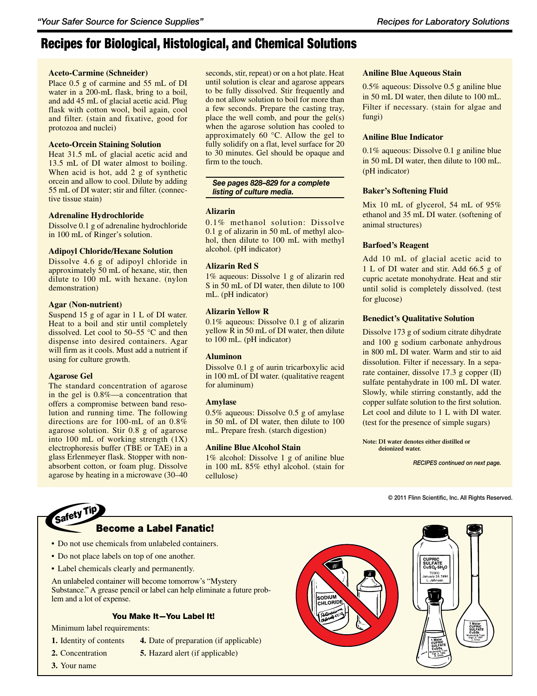### **Aceto-Carmine (Schneider)**

Place 0.5 g of carmine and 55 mL of DI water in a 200-mL flask, bring to a boil, and add 45 mL of glacial acetic acid. Plug flask with cotton wool, boil again, cool and filter. (stain and fixative, good for protozoa and nuclei)

### **Aceto-Orcein Staining Solution**

Heat 31.5 mL of glacial acetic acid and 13.5 mL of DI water almost to boiling. When acid is hot, add 2 g of synthetic orcein and allow to cool. Dilute by adding 55 mL of DI water; stir and filter. (connective tissue stain)

### **Adrenaline Hydrochloride**

Dissolve 0.1 g of adrenaline hydrochloride in 100 mL of Ringer's solution.

### **Adipoyl Chloride/Hexane Solution**

Dissolve 4.6 g of adipoyl chloride in approximately 50 mL of hexane, stir, then dilute to 100 mL with hexane. (nylon demonstration)

### **Agar (Non-nutrient)**

Suspend 15 g of agar in 1 L of DI water. Heat to a boil and stir until completely dissolved. Let cool to 50–55 °C and then dispense into desired containers. Agar will firm as it cools. Must add a nutrient if using for culture growth.

### **Agarose Gel**

*Safety Tip*

The standard concentration of agarose in the gel is 0.8%—a concentration that offers a compromise between band resolution and running time. The following directions are for 100-mL of an 0.8% agarose solution. Stir 0.8 g of agarose into 100 mL of working strength (1X) electrophoresis buffer (TBE or TAE) in a glass Erlenmeyer flask. Stopper with nonabsorbent cotton, or foam plug. Dissolve agarose by heating in a microwave (30–40

seconds, stir, repeat) or on a hot plate. Heat until solution is clear and agarose appears to be fully dissolved. Stir frequently and do not allow solution to boil for more than a few seconds. Prepare the casting tray, place the well comb, and pour the gel(s) when the agarose solution has cooled to approximately 60 °C. Allow the gel to fully solidify on a flat, level surface for 20 to 30 minutes. Gel should be opaque and firm to the touch.

### *See pages 828–829 for a complete listing of culture media.*

### **Alizarin**

0.1% methanol solution: Dissolve 0.1 g of alizarin in 50 mL of methyl alcohol, then dilute to 100 mL with methyl alcohol. (pH indicator)

### **Alizarin Red S**

1% aqueous: Dissolve 1 g of alizarin red S in 50 mL of DI water, then dilute to 100 mL. (pH indicator)

### **Alizarin Yellow R**

0.1% aqueous: Dissolve 0.1 g of alizarin yellow R in 50 mL of DI water, then dilute to 100 mL. (pH indicator)

### **Aluminon**

Dissolve 0.1 g of aurin tricarboxylic acid in 100 mL of DI water. (qualitative reagent for aluminum)

### **Amylase**

0.5% aqueous: Dissolve 0.5 g of amylase in 50 mL of DI water, then dilute to 100 mL. Prepare fresh. (starch digestion)

### **Aniline Blue Alcohol Stain**

1% alcohol: Dissolve 1 g of aniline blue in 100 mL 85% ethyl alcohol. (stain for cellulose)

### **Aniline Blue Aqueous Stain**

0.5% aqueous: Dissolve 0.5 g aniline blue in 50 mL DI water, then dilute to 100 mL. Filter if necessary. (stain for algae and fungi)

### **Aniline Blue Indicator**

0.1% aqueous: Dissolve 0.1 g aniline blue in 50 mL DI water, then dilute to 100 mL. (pH indicator)

### **Baker's Softening Fluid**

Mix 10 mL of glycerol, 54 mL of 95% ethanol and 35 mL DI water. (softening of animal structures)

### **Barfoed's Reagent**

Add 10 mL of glacial acetic acid to 1 L of DI water and stir. Add 66.5 g of cupric acetate monohydrate. Heat and stir until solid is completely dissolved. (test for glucose)

### **Benedict's Qualitative Solution**

Dissolve 173 g of sodium citrate dihydrate and 100 g sodium carbonate anhydrous in 800 mL DI water. Warm and stir to aid dissolution. Filter if necessary. In a separate container, dissolve 17.3 g copper (II) sulfate pentahydrate in 100 mL DI water. Slowly, while stirring constantly, add the copper sulfate solution to the first solution. Let cool and dilute to 1 L with DI water. (test for the presence of simple sugars)

**Note: DI water denotes either distilled or deionized water.**

*RECIPES continued on next page.*

- Do not use chemicals from unlabeled containers.
- Do not place labels on top of one another.
- Label chemicals clearly and permanently.

An unlabeled container will become tomorrow's "Mystery Substance." A grease pencil or label can help eliminate a future problem and a lot of expense.

Become a Label Fanatic!

### You Make It—You Label It!

Minimum label requirements:

**1.** Identity of contents **4.** Date of preparation (if applicable)

- **2.** Concentration **5.** Hazard alert (if applicable)
- **3.** Your name



© 2011 Flinn Scientific, Inc. All Rights Reserved.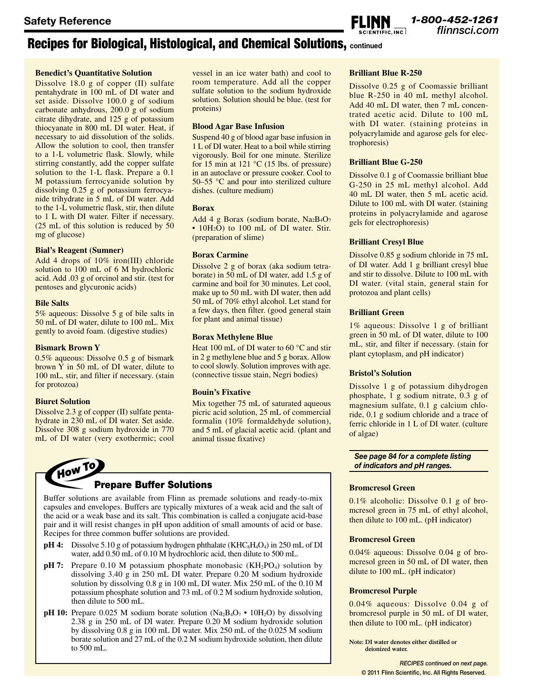### **Benedict's Quantitative Solution**

Dissolve 18.0 g of copper (II) sulfate pentahydrate in 100 mL of DI water and set aside. Dissolve 100.0 g of sodium carbonate anhydrous, 200.0 g of sodium citrate dihydrate, and 125 g of potassium thiocyanate in 800 mL DI water. Heat, if necessary to aid dissolution of the solids. Allow the solution to cool, then transfer to a 1-L volumetric flask. Slowly, while stirring constantly, add the copper sulfate solution to the 1-L flask. Prepare a 0.1 M potassium ferrocyanide solution by dissolving 0.25 g of potassium ferrocyanide trihydrate in 5 mL of DI water. Add to the 1-L volumetric flask, stir, then dilute to 1 L with DI water. Filter if necessary. (25 mL of this solution is reduced by 50 mg of glucose)

### **Bial's Reagent (Sumner)**

Add 4 drops of 10% iron(III) chloride solution to 100 mL of 6 M hydrochloric acid. Add .03 g of orcinol and stir. (test for pentoses and glycuronic acids)

### **Bile Salts**

5% aqueous: Dissolve 5 g of bile salts in 50 mL of DI water, dilute to 100 mL. Mix gently to avoid foam. (digestive studies)

### **Bismark Brown Y**

0.5% aqueous: Dissolve 0.5 g of bismark brown Y in 50 mL of DI water, dilute to 100 mL, stir, and filter if necessary. (stain for protozoa)

### **Biuret Solution**

Dissolve 2.3 g of copper (II) sulfate pentahydrate in 230 mL of DI water. Set aside. Dissolve 308 g sodium hydroxide in 770 mL of DI water (very exothermic; cool

vessel in an ice water bath) and cool to room temperature. Add all the copper sulfate solution to the sodium hydroxide solution. Solution should be blue. (test for proteins)

### **Blood Agar Base Infusion**

Suspend 40 g of blood agar base infusion in 1 L of DI water. Heat to a boil while stirring vigorously. Boil for one minute. Sterilize for 15 min at 121  $\degree$ C (15 lbs. of pressure) in an autoclave or pressure cooker. Cool to 50–55 °C and pour into sterilized culture dishes. (culture medium)

### **Borax**

Add 4 g Borax (sodium borate, Na2B4O<sup>7</sup> • 10H<sub>2</sub>O) to 100 mL of DI water. Stir. (preparation of slime)

### **Borax Carmine**

Dissolve 2 g of borax (aka sodium tetraborate) in 50 mL of DI water, add 1.5 g of carmine and boil for 30 minutes. Let cool, make up to 50 mL with DI water, then add 50 mL of 70% ethyl alcohol. Let stand for a few days, then filter. (good general stain for plant and animal tissue)

### **Borax Methylene Blue**

Heat 100 mL of DI water to 60 °C and stir in 2 g methylene blue and 5 g borax. Allow to cool slowly. Solution improves with age. (connective tissue stain, Negri bodies)

### **Bouin's Fixative**

Mix together 75 mL of saturated aqueous picric acid solution, 25 mL of commercial formalin (10% formaldehyde solution), and 5 mL of glacial acetic acid. (plant and animal tissue fixative)

# How To Prepare Buffer Solutions

Buffer solutions are available from Flinn as premade solutions and ready-to-mix capsules and envelopes. Buffers are typically mixtures of a weak acid and the salt of the acid or a weak base and its salt. This combination is called a conjugate acid-base pair and it will resist changes in pH upon addition of small amounts of acid or base. Recipes for three common buffer solutions are provided.

- **pH 4:** Dissolve 5.10 g of potassium hydrogen phthalate (KHC<sub>8</sub>H<sub>4</sub>O<sub>4</sub>) in 250 mL of DI water, add 0.50 mL of 0.10 M hydrochloric acid, then dilute to 500 mL.
- **pH 7:** Prepare 0.10 M potassium phosphate monobasic  $(KH_2PO_4)$  solution by dissolving 3.40 g in 250 mL DI water. Prepare 0.20 M sodium hydroxide solution by dissolving 0.8 g in 100 mL DI water. Mix 250 mL of the 0.10 M potassium phosphate solution and 73 mL of 0.2 M sodium hydroxide solution, then dilute to 500 mL.
- **pH 10:** Prepare 0.025 M sodium borate solution ( $N_a B_4 O_7 \cdot 10 H_2 O$ ) by dissolving 2.38 g in 250 mL of DI water. Prepare 0.20 M sodium hydroxide solution by dissolving 0.8 g in 100 mL DI water. Mix 250 mL of the 0.025 M sodium borate solution and 27 mL of the 0.2 M sodium hydroxide solution, then dilute to 500 mL.

### **Brilliant Blue R-250**

Dissolve 0.25 g of Coomassie brilliant blue R-250 in 40 mL methyl alcohol. Add 40 mL DI water, then 7 mL concentrated acetic acid. Dilute to 100 mL with DI water. (staining proteins in polyacrylamide and agarose gels for electrophoresis)

*1-800-452-1261*

### **Brilliant Blue G-250**

Dissolve 0.1 g of Coomassie brilliant blue G-250 in 25 mL methyl alcohol. Add 40 mL DI water, then 5 mL acetic acid. Dilute to 100 mL with DI water. (staining proteins in polyacrylamide and agarose gels for electrophoresis)

### **Brilliant Cresyl Blue**

Dissolve 0.85 g sodium chloride in 75 mL of DI water. Add 1 g brilliant cresyl blue and stir to dissolve. Dilute to 100 mL with DI water. (vital stain, general stain for protozoa and plant cells)

### **Brilliant Green**

1% aqueous: Dissolve 1 g of brilliant green in 50 mL of DI water, dilute to 100 mL, stir, and filter if necessary. (stain for plant cytoplasm, and pH indicator)

### **Bristol's Solution**

Dissolve 1 g of potassium dihydrogen phosphate, 1 g sodium nitrate, 0.3 g of magnesium sulfate, 0.1 g calcium chloride, 0.1 g sodium chloride and a trace of ferric chloride in 1 L of DI water. (culture of algae)

### *See page 84 for a complete listing of indicators and pH ranges.*

### **Bromcresol Green**

0.1% alcoholic: Dissolve 0.1 g of bromcresol green in 75 mL of ethyl alcohol, then dilute to 100 mL. (pH indicator)

### **Bromcresol Green**

0.04% aqueous: Dissolve 0.04 g of bromcresol green in 50 mL of DI water, then dilute to 100 mL. (pH indicator)

### **Bromcresol Purple**

0.04% aqueous: Dissolve 0.04 g of bromcresol purple in 50 mL of DI water, then dilute to 100 mL. (pH indicator)

**Note: DI water denotes either distilled or deionized water.**

> *RECIPES continued on next page.* © 2011 Flinn Scientific, Inc. All Rights Reserved.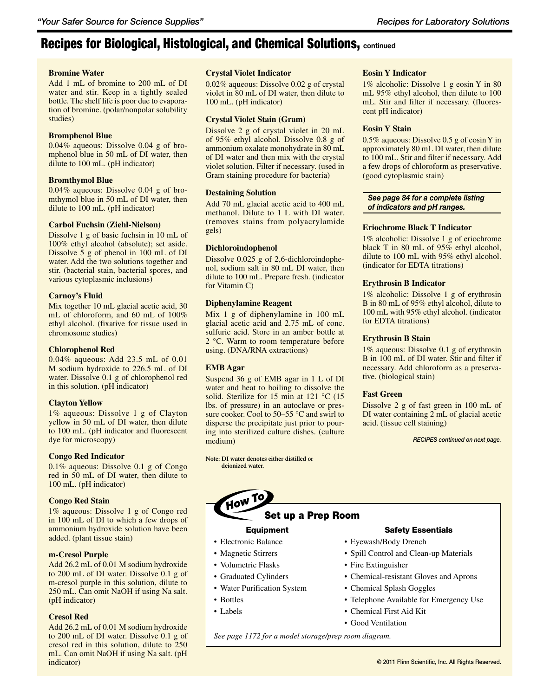### **Bromine Water**

Add 1 mL of bromine to 200 mL of DI water and stir. Keep in a tightly sealed bottle. The shelf life is poor due to evaporation of bromine. (polar/nonpolar solubility studies)

### **Bromphenol Blue**

0.04% aqueous: Dissolve 0.04 g of bromphenol blue in 50 mL of DI water, then dilute to 100 mL. (pH indicator)

### **Bromthymol Blue**

0.04% aqueous: Dissolve 0.04 g of bromthymol blue in 50 mL of DI water, then dilute to 100 mL. (pH indicator)

### **Carbol Fuchsin (Ziehl-Nielson)**

Dissolve 1 g of basic fuchsin in 10 mL of 100% ethyl alcohol (absolute); set aside. Dissolve 5 g of phenol in 100 mL of DI water. Add the two solutions together and stir. (bacterial stain, bacterial spores, and various cytoplasmic inclusions)

### **Carnoy's Fluid**

Mix together 10 mL glacial acetic acid, 30 mL of chloroform, and 60 mL of 100% ethyl alcohol. (fixative for tissue used in chromosome studies)

### **Chlorophenol Red**

0.04% aqueous: Add 23.5 mL of 0.01 M sodium hydroxide to 226.5 mL of DI water. Dissolve 0.1 g of chlorophenol red in this solution. (pH indicator)

### **Clayton Yellow**

1% aqueous: Dissolve 1 g of Clayton yellow in 50 mL of DI water, then dilute to 100 mL. (pH indicator and fluorescent dye for microscopy)

### **Congo Red Indicator**

0.1% aqueous: Dissolve 0.1 g of Congo red in 50 mL of DI water, then dilute to 100 mL. (pH indicator)

### **Congo Red Stain**

1% aqueous: Dissolve 1 g of Congo red in 100 mL of DI to which a few drops of ammonium hydroxide solution have been added. (plant tissue stain)

### **m-Cresol Purple**

Add 26.2 mL of 0.01 M sodium hydroxide to 200 mL of DI water. Dissolve 0.1 g of m-cresol purple in this solution, dilute to 250 mL. Can omit NaOH if using Na salt. (pH indicator)

### **Cresol Red**

Add 26.2 mL of 0.01 M sodium hydroxide to 200 mL of DI water. Dissolve 0.1 g of cresol red in this solution, dilute to 250 mL. Can omit NaOH if using Na salt. (pH indicator)

### **Crystal Violet Indicator**

0.02% aqueous: Dissolve 0.02 g of crystal violet in 80 mL of DI water, then dilute to 100 mL. (pH indicator)

### **Crystal Violet Stain (Gram)**

Dissolve 2 g of crystal violet in 20 mL of 95% ethyl alcohol. Dissolve 0.8 g of ammonium oxalate monohydrate in 80 mL of DI water and then mix with the crystal violet solution. Filter if necessary. (used in Gram staining procedure for bacteria)

### **Destaining Solution**

Add 70 mL glacial acetic acid to 400 mL methanol. Dilute to 1 L with DI water. (removes stains from polyacrylamide gels)

### **Dichloroindophenol**

Dissolve 0.025 g of 2,6-dichloroindophenol, sodium salt in 80 mL DI water, then dilute to 100 mL. Prepare fresh. (indicator for Vitamin C)

### **Diphenylamine Reagent**

Mix 1 g of diphenylamine in 100 mL glacial acetic acid and 2.75 mL of conc. sulfuric acid. Store in an amber bottle at 2 °C. Warm to room temperature before using. (DNA/RNA extractions)

### **EMB Agar**

Suspend 36 g of EMB agar in 1 L of DI water and heat to boiling to dissolve the solid. Sterilize for 15 min at 121 °C (15 lbs. of pressure) in an autoclave or pressure cooker. Cool to 50–55 °C and swirl to disperse the precipitate just prior to pouring into sterilized culture dishes. (culture medium)

**Note: DI water denotes either distilled or deionized water.**

### **Eosin Y Indicator**

1% alcoholic: Dissolve 1 g eosin Y in 80 mL 95% ethyl alcohol, then dilute to 100 mL. Stir and filter if necessary. (fluorescent pH indicator)

### **Eosin Y Stain**

0.5% aqueous: Dissolve 0.5 g of eosinY in approximately 80 mL DI water, then dilute to 100 mL. Stir and filter if necessary. Add a few drops of chloroform as preservative. (good cytoplasmic stain)

### *See page 84 for a complete listing of indicators and pH ranges.*

### **Eriochrome Black T Indicator**

1% alcoholic: Dissolve 1 g of eriochrome black T in 80 mL of 95% ethyl alcohol, dilute to 100 mL with 95% ethyl alcohol. (indicator for EDTA titrations)

### **Erythrosin B Indicator**

1% alcoholic: Dissolve 1 g of erythrosin B in 80 mL of 95% ethyl alcohol, dilute to 100 mL with 95% ethyl alcohol. (indicator for EDTA titrations)

### **Erythrosin B Stain**

1% aqueous: Dissolve 0.1 g of erythrosin B in 100 mL of DI water. Stir and filter if necessary. Add chloroform as a preservative. (biological stain)

### **Fast Green**

Dissolve 2 g of fast green in 100 mL of DI water containing 2 mL of glacial acetic acid. (tissue cell staining)

*RECIPES continued on next page.*



### Equipment

- Electronic Balance
- Magnetic Stirrers
- • Volumetric Flasks
- Graduated Cylinders
- Water Purification System
- Bottles
- Labels

### Safety Essentials

- Eyewash/Body Drench
- • Spill Control and Clean-up Materials
- Fire Extinguisher
- Chemical-resistant Gloves and Aprons
- Chemical Splash Goggles
- Telephone Available for Emergency Use
- • Chemical First Aid Kit
- Good Ventilation

*See page 1172 for a model storage/prep room diagram.*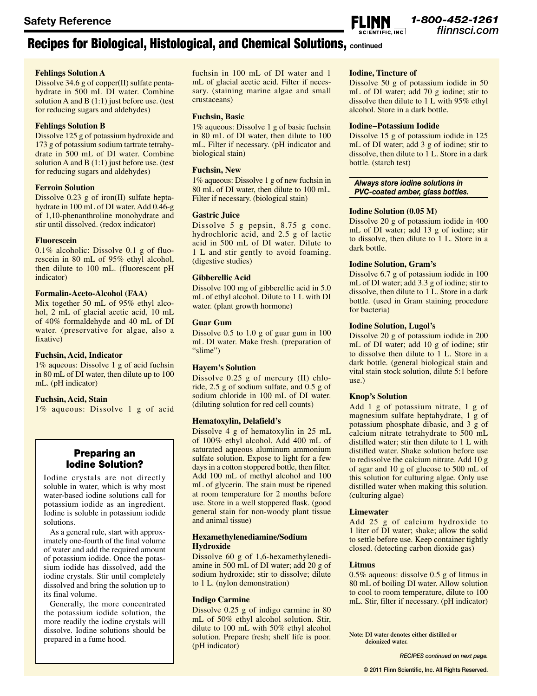### **Fehlings Solution A**

Dissolve 34.6 g of copper(II) sulfate pentahydrate in 500 mL DI water. Combine solution A and B (1:1) just before use. (test for reducing sugars and aldehydes)

### **Fehlings Solution B**

Dissolve 125 g of potassium hydroxide and 173 g of potassium sodium tartrate tetrahydrate in 500 mL of DI water. Combine solution A and B (1:1) just before use. (test for reducing sugars and aldehydes)

### **Ferroin Solution**

Dissolve 0.23 g of iron(II) sulfate heptahydrate in 100 mL of DI water. Add 0.46‑g of 1,10-phenanthroline monohydrate and stir until dissolved. (redox indicator)

### **Fluorescein**

0.1% alcoholic: Dissolve 0.1 g of fluorescein in 80 mL of 95% ethyl alcohol, then dilute to 100 mL. (fluorescent pH indicator)

### **Formalin-Aceto-Alcohol (FAA)**

Mix together 50 mL of 95% ethyl alcohol, 2 mL of glacial acetic acid, 10 mL of 40% formaldehyde and 40 mL of DI water. (preservative for algae, also a fixative)

### **Fuchsin, Acid, Indicator**

1% aqueous: Dissolve 1 g of acid fuchsin in 80 mL of DI water, then dilute up to 100 mL. (pH indicator)

### **Fuchsin, Acid, Stain**

1% aqueous: Dissolve 1 g of acid

### Preparing an Iodine Solution?

Iodine crystals are not directly soluble in water, which is why most water-based iodine solutions call for potassium iodide as an ingredient. Iodine is soluble in potassium iodide solutions.

As a general rule, start with approximately one-fourth of the final volume of water and add the required amount of potassium iodide. Once the potassium iodide has dissolved, add the iodine crystals. Stir until completely dissolved and bring the solution up to its final volume.

Generally, the more concentrated the potassium iodide solution, the more readily the iodine crystals will dissolve. Iodine solutions should be prepared in a fume hood.

fuchsin in 100 mL of DI water and 1 mL of glacial acetic acid. Filter if necessary. (staining marine algae and small crustaceans)

### **Fuchsin, Basic**

1% aqueous: Dissolve 1 g of basic fuchsin in 80 mL of DI water, then dilute to 100 mL. Filter if necessary. (pH indicator and biological stain)

### **Fuchsin, New**

1% aqueous: Dissolve 1 g of new fuchsin in 80 mL of DI water, then dilute to 100 mL. Filter if necessary. (biological stain)

### **Gastric Juice**

Dissolve 5 g pepsin, 8.75 g conc. hydrochloric acid, and 2.5 g of lactic acid in 500 mL of DI water. Dilute to 1 L and stir gently to avoid foaming. (digestive studies)

### **Gibberellic Acid**

Dissolve 100 mg of gibberellic acid in 5.0 mL of ethyl alcohol. Dilute to 1 L with DI water. (plant growth hormone)

### **Guar Gum**

Dissolve 0.5 to 1.0 g of guar gum in 100 mL DI water. Make fresh. (preparation of "slime")

### **Hayem's Solution**

Dissolve 0.25 g of mercury (II) chloride, 2.5 g of sodium sulfate, and 0.5 g of sodium chloride in 100 mL of DI water. (diluting solution for red cell counts)

### **Hematoxylin, Delafield's**

Dissolve 4 g of hematoxylin in 25 mL of 100% ethyl alcohol. Add 400 mL of saturated aqueous aluminum ammonium sulfate solution. Expose to light for a few days in a cotton stoppered bottle, then filter. Add 100 mL of methyl alcohol and 100 mL of glycerin. The stain must be ripened at room temperature for 2 months before use. Store in a well stoppered flask. (good general stain for non-woody plant tissue and animal tissue)

#### **Hexamethylenediamine/Sodium Hydroxide**

Dissolve 60 g of 1,6-hexamethylenediamine in 500 mL of DI water; add 20 g of sodium hydroxide; stir to dissolve; dilute to 1 L. (nylon demonstration)

### **Indigo Carmine**

Dissolve 0.25 g of indigo carmine in 80 mL of 50% ethyl alcohol solution. Stir, dilute to 100 mL with 50% ethyl alcohol solution. Prepare fresh; shelf life is poor. (pH indicator)

### **Iodine, Tincture of**

Dissolve 50 g of potassium iodide in 50 mL of DI water; add 70 g iodine; stir to dissolve then dilute to 1 L with 95% ethyl alcohol. Store in a dark bottle.

#### **Iodine–Potassium Iodide**

Dissolve 15 g of potassium iodide in 125 mL of DI water; add 3 g of iodine; stir to dissolve, then dilute to 1 L. Store in a dark bottle. (starch test)

### *Always store iodine solutions in PVC-coated amber, glass bottles.*

### **Iodine Solution (0.05 M)**

Dissolve 20 g of potassium iodide in 400 mL of DI water; add 13 g of iodine; stir to dissolve, then dilute to 1 L. Store in a dark bottle.

### **Iodine Solution, Gram's**

Dissolve 6.7 g of potassium iodide in 100 mL of DI water; add 3.3 g of iodine; stir to dissolve, then dilute to 1 L. Store in a dark bottle. (used in Gram staining procedure for bacteria)

### **Iodine Solution, Lugol's**

Dissolve 20 g of potassium iodide in 200 mL of DI water; add 10 g of iodine; stir to dissolve then dilute to 1 L. Store in a dark bottle. (general biological stain and vital stain stock solution, dilute 5:1 before use.)

### **Knop's Solution**

Add 1 g of potassium nitrate, 1 g of magnesium sulfate heptahydrate, 1 g of potassium phosphate dibasic, and 3 g of calcium nitrate tetrahydrate to 500 mL distilled water; stir then dilute to 1 L with distilled water. Shake solution before use to redissolve the calcium nitrate. Add 10 g of agar and 10 g of glucose to 500 mL of this solution for culturing algae. Only use distilled water when making this solution. (culturing algae)

### **Limewater**

Add 25 g of calcium hydroxide to 1 liter of DI water; shake; allow the solid to settle before use. Keep container tightly closed. (detecting carbon dioxide gas)

### **Litmus**

0.5% aqueous: dissolve 0.5 g of litmus in 80 mL of boiling DI water. Allow solution to cool to room temperature, dilute to 100 mL. Stir, filter if necessary. (pH indicator)

**Note: DI water denotes either distilled or deionized water.**

*RECIPES continued on next page.*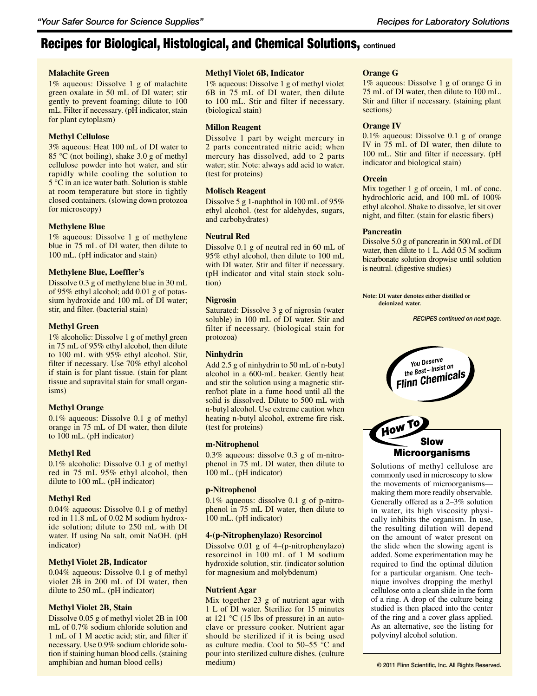### **Malachite Green**

1% aqueous: Dissolve 1 g of malachite green oxalate in 50 mL of DI water; stir gently to prevent foaming; dilute to 100 mL. Filter if necessary. (pH indicator, stain for plant cytoplasm)

### **Methyl Cellulose**

3% aqueous: Heat 100 mL of DI water to 85 °C (not boiling), shake 3.0 g of methyl cellulose powder into hot water, and stir rapidly while cooling the solution to 5 °C in an ice water bath. Solution is stable at room temperature but store in tightly closed containers. (slowing down protozoa for microscopy)

### **Methylene Blue**

1% aqueous: Dissolve 1 g of methylene blue in 75 mL of DI water, then dilute to 100 mL. (pH indicator and stain)

### **Methylene Blue, Loeffler's**

Dissolve 0.3 g of methylene blue in 30 mL of 95% ethyl alcohol; add 0.01 g of potassium hydroxide and 100 mL of DI water; stir, and filter. (bacterial stain)

### **Methyl Green**

1% alcoholic: Dissolve 1 g of methyl green in 75 mL of 95% ethyl alcohol, then dilute to 100 mL with 95% ethyl alcohol. Stir, filter if necessary. Use 70% ethyl alcohol if stain is for plant tissue. (stain for plant tissue and supravital stain for small organisms)

### **Methyl Orange**

0.1% aqueous: Dissolve 0.1 g of methyl orange in 75 mL of DI water, then dilute to 100 mL. (pH indicator)

### **Methyl Red**

0.1% alcoholic: Dissolve 0.1 g of methyl red in 75 mL 95% ethyl alcohol, then dilute to 100 mL. (pH indicator)

### **Methyl Red**

0.04% aqueous: Dissolve 0.1 g of methyl red in 11.8 mL of 0.02 M sodium hydroxide solution; dilute to 250 mL with DI water. If using Na salt, omit NaOH. (pH indicator)

### **Methyl Violet 2B, Indicator**

0.04% aqueous: Dissolve 0.1 g of methyl violet 2B in 200 mL of DI water, then dilute to 250 mL. (pH indicator)

### **Methyl Violet 2B, Stain**

Dissolve 0.05 g of methyl violet 2B in 100 mL of 0.7% sodium chloride solution and 1 mL of 1 M acetic acid; stir, and filter if necessary. Use 0.9% sodium chloride solution if staining human blood cells. (staining amphibian and human blood cells)

### **Methyl Violet 6B, Indicator**

1% aqueous: Dissolve 1 g of methyl violet 6B in 75 mL of DI water, then dilute to 100 mL. Stir and filter if necessary. (biological stain)

### **Millon Reagent**

Dissolve 1 part by weight mercury in 2 parts concentrated nitric acid; when mercury has dissolved, add to 2 parts water; stir. Note: always add acid to water. (test for proteins)

### **Molisch Reagent**

Dissolve 5 g 1-naphthol in 100 mL of 95% ethyl alcohol. (test for aldehydes, sugars, and carbohydrates)

### **Neutral Red**

Dissolve 0.1 g of neutral red in 60 mL of 95% ethyl alcohol, then dilute to 100 mL with DI water. Stir and filter if necessary. (pH indicator and vital stain stock solution)

### **Nigrosin**

Saturated: Dissolve 3 g of nigrosin (water soluble) in 100 mL of DI water. Stir and filter if necessary. (biological stain for protozoa)

### **Ninhydrin**

Add 2.5 g of ninhydrin to 50 mL of n-butyl alcohol in a 600-mL beaker. Gently heat and stir the solution using a magnetic stirrer/hot plate in a fume hood until all the solid is dissolved. Dilute to 500 mL with n-butyl alcohol. Use extreme caution when heating n-butyl alcohol, extreme fire risk. (test for proteins)

### **m-Nitrophenol**

0.3% aqueous: dissolve 0.3 g of m-nitrophenol in 75 mL DI water, then dilute to 100 mL. (pH indicator)

### **p-Nitrophenol**

0.1% aqueous: dissolve 0.1 g of p-nitrophenol in 75 mL DI water, then dilute to 100 mL. (pH indicator)

### **4-(p-Nitrophenylazo) Resorcinol**

Dissolve 0.01 g of 4–(p-nitrophenylazo) resorcinol in 100 mL of 1 M sodium hydroxide solution, stir. (indicator solution for magnesium and molybdenum)

### **Nutrient Agar**

Mix together 23 g of nutrient agar with 1 L of DI water. Sterilize for 15 minutes at 121 °C (15 lbs of pressure) in an autoclave or pressure cooker. Nutrient agar should be sterilized if it is being used as culture media. Cool to 50–55 °C and pour into sterilized culture dishes. (culture medium)

### **Orange G**

1% aqueous: Dissolve 1 g of orange G in 75 mL of DI water, then dilute to 100 mL. Stir and filter if necessary. (staining plant sections)

### **Orange IV**

0.1% aqueous: Dissolve 0.1 g of orange IV in 75 mL of DI water, then dilute to 100 mL. Stir and filter if necessary. (pH indicator and biological stain)

### **Orcein**

Mix together 1 g of orcein, 1 mL of conc. hydrochloric acid, and 100 mL of 100% ethyl alcohol. Shake to dissolve, let sit over night, and filter. (stain for elastic fibers)

### **Pancreatin**

Dissolve 5.0 g of pancreatin in 500 mL of DI water, then dilute to 1 L. Add 0.5 M sodium bicarbonate solution dropwise until solution is neutral. (digestive studies)

**Note: DI water denotes either distilled or deionized water.**

*RECIPES continued on next page.*



Generally offered as a 2–3% solution in water, its high viscosity physically inhibits the organism. In use, the resulting dilution will depend on the amount of water present on the slide when the slowing agent is added. Some experimentation may be required to find the optimal dilution for a particular organism. One technique involves dropping the methyl cellulose onto a clean slide in the form of a ring. A drop of the culture being studied is then placed into the center of the ring and a cover glass applied. As an alternative, see the listing for polyvinyl alcohol solution.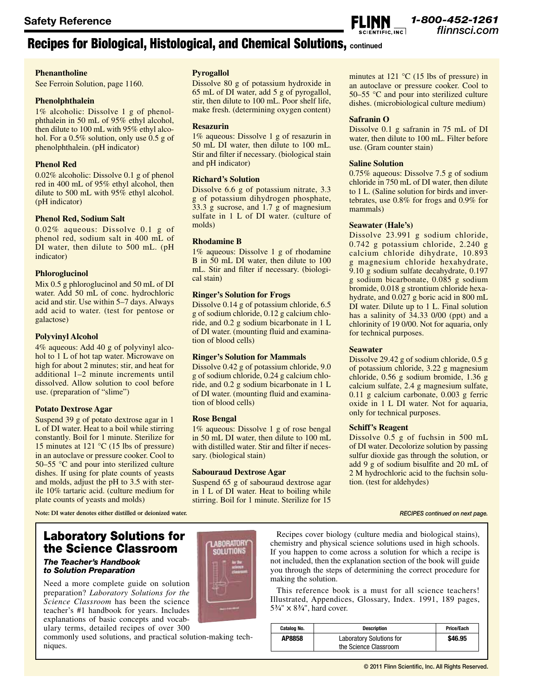### **Phenantholine**

See Ferroin Solution, page 1160.

### **Phenolphthalein**

1% alcoholic: Dissolve 1 g of phenolphthalein in 50 mL of 95% ethyl alcohol, then dilute to 100 mL with 95% ethyl alcohol. For a 0.5% solution, only use 0.5 g of phenolphthalein. (pH indicator)

### **Phenol Red**

0.02% alcoholic: Dissolve 0.1 g of phenol red in 400 mL of 95% ethyl alcohol, then dilute to 500 mL with 95% ethyl alcohol. (pH indicator)

### **Phenol Red, Sodium Salt**

0.02% aqueous: Dissolve 0.1 g of phenol red, sodium salt in 400 mL of DI water, then dilute to 500 mL. (pH indicator)

### **Phloroglucinol**

Mix 0.5 g phloroglucinol and 50 mL of DI water. Add 50 mL of conc. hydrochloric acid and stir. Use within 5–7 days. Always add acid to water. (test for pentose or galactose)

### **Polyvinyl Alcohol**

4% aqueous: Add 40 g of polyvinyl alcohol to 1 L of hot tap water. Microwave on high for about 2 minutes; stir, and heat for additional 1–2 minute increments until dissolved. Allow solution to cool before use. (preparation of "slime")

### **Potato Dextrose Agar**

Suspend 39 g of potato dextrose agar in 1 L of DI water. Heat to a boil while stirring constantly. Boil for 1 minute. Sterilize for 15 minutes at 121 °C (15 lbs of pressure) in an autoclave or pressure cooker. Cool to 50–55 °C and pour into sterilized culture dishes. If using for plate counts of yeasts and molds, adjust the pH to 3.5 with sterile 10% tartaric acid. (culture medium for plate counts of yeasts and molds)

**Note: DI water denotes either distilled or deionized water.**

### Laboratory Solutions for the Science Classroom

### *The Teacher's Handbook to Solution Preparation*

Need a more complete guide on solution preparation? *Laboratory Solutions for the Science Classroom* has been the science teacher's #1 handbook for years. Includes explanations of basic concepts and vocabulary terms, detailed recipes of over 300

commonly used solutions, and practical solution-making techniques.

### **Pyrogallol**

Dissolve 80 g of potassium hydroxide in 65 mL of DI water, add 5 g of pyrogallol, stir, then dilute to 100 mL. Poor shelf life, make fresh. (determining oxygen content)

### **Resazurin**

1% aqueous: Dissolve 1 g of resazurin in 50 mL DI water, then dilute to 100 mL. Stir and filter if necessary. (biological stain and pH indicator)

### **Richard's Solution**

Dissolve 6.6 g of potassium nitrate, 3.3 g of potassium dihydrogen phosphate, 33.3 g sucrose, and 1.7 g of magnesium sulfate in 1 L of DI water. (culture of molds)

### **Rhodamine B**

1% aqueous: Dissolve 1 g of rhodamine B in 50 mL DI water, then dilute to 100 mL. Stir and filter if necessary. (biological stain)

### **Ringer's Solution for Frogs**

Dissolve 0.14 g of potassium chloride, 6.5 g of sodium chloride, 0.12 g calcium chloride, and 0.2 g sodium bicarbonate in 1 L of DI water. (mounting fluid and examination of blood cells)

### **Ringer's Solution for Mammals**

Dissolve 0.42 g of potassium chloride, 9.0 g of sodium chloride, 0.24 g calcium chloride, and 0.2 g sodium bicarbonate in 1 L of DI water. (mounting fluid and examination of blood cells)

### **Rose Bengal**

1% aqueous: Dissolve 1 g of rose bengal in 50 mL DI water, then dilute to 100 mL with distilled water. Stir and filter if necessary. (biological stain)

### **Sabouraud Dextrose Agar**

Suspend 65 g of sabouraud dextrose agar in 1 L of DI water. Heat to boiling while stirring. Boil for 1 minute. Sterilize for 15

minutes at 121 °C (15 lbs of pressure) in an autoclave or pressure cooker. Cool to 50–55 °C and pour into sterilized culture dishes. (microbiological culture medium)

### **Safranin O**

Dissolve 0.1 g safranin in 75 mL of DI water, then dilute to 100 mL. Filter before use. (Gram counter stain)

### **Saline Solution**

0.75% aqueous: Dissolve 7.5 g of sodium chloride in 750 mL of DI water, then dilute to 1 L. (Saline solution for birds and invertebrates, use 0.8% for frogs and 0.9% for mammals)

### **Seawater (Hale's)**

Dissolve 23.991 g sodium chloride, 0.742 g potassium chloride, 2.240 g calcium chloride dihydrate, 10.893 g magnesium chloride hexahydrate, 9.10 g sodium sulfate decahydrate, 0.197 g sodium bicarbonate, 0.085 g sodium bromide, 0.018 g strontium chloride hexahydrate, and 0.027 g boric acid in 800 mL DI water. Dilute up to 1 L. Final solution has a salinity of 34.33 0/00 (ppt) and a chlorinity of 19 0/00. Not for aquaria, only for technical purposes.

### **Seawater**

Dissolve 29.42 g of sodium chloride, 0.5 g of potassium chloride, 3.22 g magnesium chloride, 0.56 g sodium bromide, 1.36 g calcium sulfate, 2.4 g magnesium sulfate, 0.11 g calcium carbonate, 0.003 g ferric oxide in 1 L DI water. Not for aquaria, only for technical purposes.

### **Schiff's Reagent**

Dissolve 0.5 g of fuchsin in 500 mL of DI water. Decolorize solution by passing sulfur dioxide gas through the solution, or add 9 g of sodium bisulfite and 20 mL of 2 M hydrochloric acid to the fuchsin solution. (test for aldehydes)

#### *RECIPES continued on next page.*



Recipes cover biology (culture media and biological stains), chemistry and physical science solutions used in high schools. If you happen to come across a solution for which a recipe is not included, then the explanation section of the book will guide you through the steps of determining the correct procedure for making the solution.

This reference book is a must for all science teachers! Illustrated, Appendices, Glossary, Index. 1991, 189 pages, 5 **3**⁄**4**" x 8**3**⁄**4**", hard cover.

| Catalog No. | <b>Description</b>                                       | Price/Each |
|-------------|----------------------------------------------------------|------------|
| AP8858      | <b>Laboratory Solutions for</b><br>the Science Classroom | \$46.95    |

*1-800-452-1261 flinnsci.com* **Safety Reference**